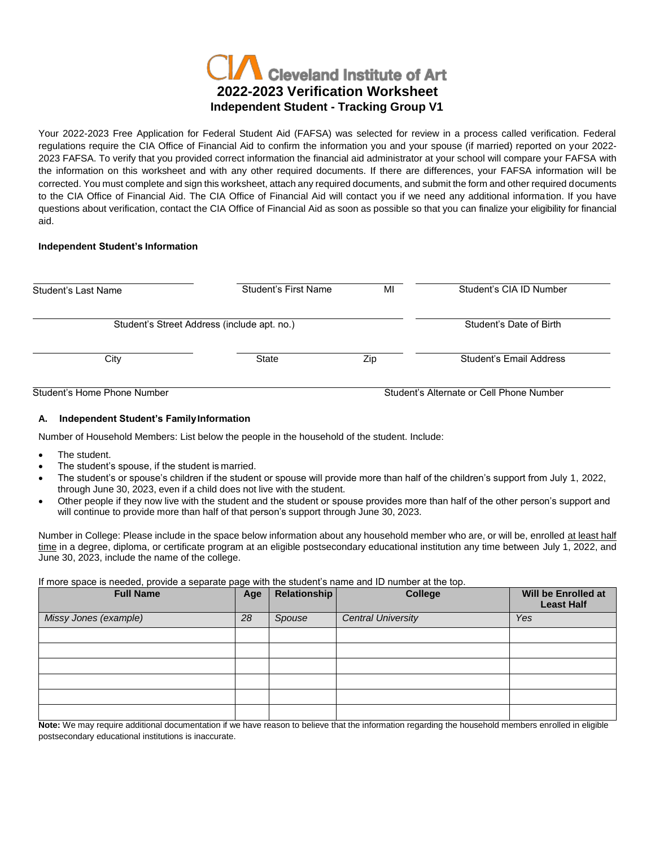

Your 2022-2023 Free Application for Federal Student Aid (FAFSA) was selected for review in a process called verification. Federal regulations require the CIA Office of Financial Aid to confirm the information you and your spouse (if married) reported on your 2022- 2023 FAFSA. To verify that you provided correct information the financial aid administrator at your school will compare your FAFSA with the information on this worksheet and with any other required documents. If there are differences, your FAFSA information will be corrected. You must complete and sign this worksheet, attach any required documents, and submit the form and other required documents to the CIA Office of Financial Aid. The CIA Office of Financial Aid will contact you if we need any additional information. If you have questions about verification, contact the CIA Office of Financial Aid as soon as possible so that you can finalize your eligibility for financial aid.

# **Independent Student's Information**

| Student's Last Name                         | Student's First Name | MI                                       | Student's CIA ID Number |  |
|---------------------------------------------|----------------------|------------------------------------------|-------------------------|--|
| Student's Street Address (include apt. no.) |                      | Student's Date of Birth                  |                         |  |
| City                                        | State                | Zip                                      | Student's Email Address |  |
| Student's Home Phone Number                 |                      | Student's Alternate or Cell Phone Number |                         |  |

# **A. Independent Student's FamilyInformation**

Number of Household Members: List below the people in the household of the student. Include:

- The student.
- The student's spouse, if the student is married.
- The student's or spouse's children if the student or spouse will provide more than half of the children's support from July 1, 2022, through June 30, 2023, even if a child does not live with the student.
- Other people if they now live with the student and the student or spouse provides more than half of the other person's support and will continue to provide more than half of that person's support through June 30, 2023.

Number in College: Please include in the space below information about any household member who are, or will be, enrolled at least half time in a degree, diploma, or certificate program at an eligible postsecondary educational institution any time between July 1, 2022, and June 30, 2023, include the name of the college.

## If more space is needed, provide a separate page with the student's name and ID number at the top.

| <b>Full Name</b>      | Age | <b>Relationship</b> | <b>College</b>            | Will be Enrolled at<br><b>Least Half</b> |
|-----------------------|-----|---------------------|---------------------------|------------------------------------------|
| Missy Jones (example) | 28  | Spouse              | <b>Central University</b> | Yes                                      |
|                       |     |                     |                           |                                          |
|                       |     |                     |                           |                                          |
|                       |     |                     |                           |                                          |
|                       |     |                     |                           |                                          |
|                       |     |                     |                           |                                          |
|                       |     |                     |                           |                                          |

**Note:** We may require additional documentation if we have reason to believe that the information regarding the household members enrolled in eligible postsecondary educational institutions is inaccurate.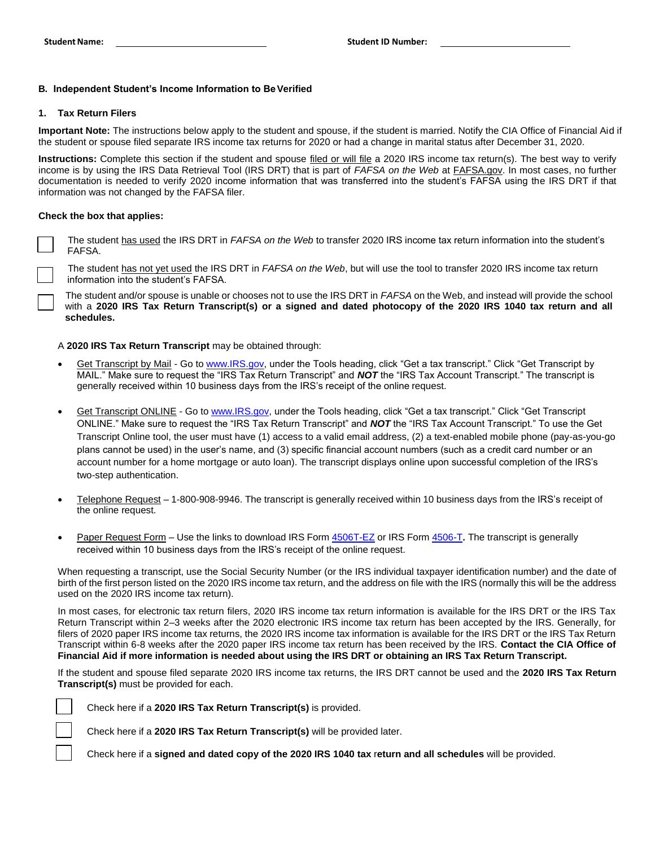## **B. Independent Student's Income Information to BeVerified**

#### **1. Tax Return Filers**

**Important Note:** The instructions below apply to the student and spouse, if the student is married. Notify the CIA Office of Financial Aid if the student or spouse filed separate IRS income tax returns for 2020 or had a change in marital status after December 31, 2020.

**Instructions:** Complete this section if the student and spouse filed or will file a 2020 IRS income tax return(s). The best way to verify income is by using the IRS Data Retrieval Tool (IRS DRT) that is part of *FAFSA on the Web* at FAFSA.gov. In most cases, no further documentation is needed to verify 2020 income information that was transferred into the student's FAFSA using the IRS DRT if that information was not changed by the FAFSA filer.

#### **Check the box that applies:**

 $\overline{a}$ 

The student has used the IRS DRT in *FAFSA on the Web* to transfer 2020 IRS income tax return information into the student's FAFSA.

The student has not yet used the IRS DRT in *FAFSA on the Web*, but will use the tool to transfer 2020 IRS income tax return information into the student's FAFSA.

The student and/or spouse is unable or chooses not to use the IRS DRT in *FAFSA* on the Web, and instead will provide the school with a **2020 IRS Tax Return Transcript(s) or a signed and dated photocopy of the 2020 IRS 1040 tax return and all schedules.**

#### A **2020 IRS Tax Return Transcript** may be obtained through:

- Get Transcript by Mail Go to [www.IRS.gov, u](http://www.irs.gov/)nder the Tools heading, click "Get a tax transcript." Click "Get Transcript by MAIL." Make sure to request the "IRS Tax Return Transcript" and *NOT* the "IRS Tax Account Transcript." The transcript is generally received within 10 business days from the IRS's receipt of the online request.
- Get Transcript ONLINE Go to [www.IRS.gov, u](http://www.irs.gov/)nder the Tools heading, click "Get a tax transcript." Click "Get Transcript ONLINE." Make sure to request the "IRS Tax Return Transcript" and *NOT* the "IRS Tax Account Transcript." To use the Get Transcript Online tool, the user must have (1) access to a valid email address, (2) a text-enabled mobile phone (pay-as-you-go plans cannot be used) in the user's name, and (3) specific financial account numbers (such as a credit card number or an account number for a home mortgage or auto loan). The transcript displays online upon successful completion of the IRS's two-step authentication.
- Telephone Request 1-800-908-9946. The transcript is generally received within 10 business days from the IRS's receipt of the online request.
- Paper Request Form Use the links to download IRS Form [4506T-EZ](https://www.irs.gov/pub/irs-pdf/f4506tez.pdf) or IRS Form [4506-T](https://www.irs.gov/pub/irs-pdf/f4506t.pdf). The transcript is generally received within 10 business days from the IRS's receipt of the online request.

When requesting a transcript, use the Social Security Number (or the IRS individual taxpayer identification number) and the date of birth of the first person listed on the 2020 IRS income tax return, and the address on file with the IRS (normally this will be the address used on the 2020 IRS income tax return).

In most cases, for electronic tax return filers, 2020 IRS income tax return information is available for the IRS DRT or the IRS Tax Return Transcript within 2–3 weeks after the 2020 electronic IRS income tax return has been accepted by the IRS. Generally, for filers of 2020 paper IRS income tax returns, the 2020 IRS income tax information is available for the IRS DRT or the IRS Tax Return Transcript within 6-8 weeks after the 2020 paper IRS income tax return has been received by the IRS. **Contact the CIA Office of Financial Aid if more information is needed about using the IRS DRT or obtaining an IRS Tax Return Transcript.**

If the student and spouse filed separate 2020 IRS income tax returns, the IRS DRT cannot be used and the **2020 IRS Tax Return Transcript(s)** must be provided for each.

Check here if a **2020 IRS Tax Return Transcript(s)** is provided.

Check here if a **2020 IRS Tax Return Transcript(s)** will be provided later.

Check here if a **signed and dated copy of the 2020 IRS 1040 tax** r**eturn and all schedules** will be provided.